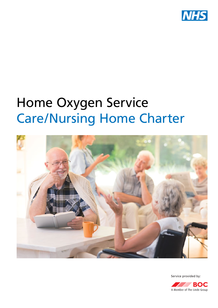

# Home Oxygen Service Care/Nursing Home Charter



Service provided by:

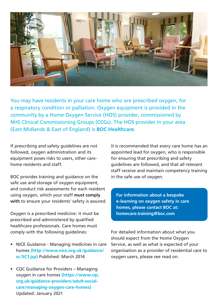

You may have residents in your care home who are prescribed oxygen, for a respiratory condition or palliation. Oxygen equipment is provided in the community by a Home Oxygen Service (HOS) provider, commissioned by NHS Clinical Commissioning Groups (CCGs). The HOS provider in your area (East Midlands & East of England) is **BOC Healthcare**.

If prescribing and safety guidelines are not followed, oxygen administration and its equipment poses risks to users, other carehome residents and staff.

BOC provides training and guidance on the safe use and storage of oxygen equipment, and conduct risk assessments for each resident using oxygen, which your staff **must comply with** to ensure your residents' safety is assured.

Oxygen is a prescribed medicine: it must be prescribed and administered by qualified healthcare professionals. Care homes must comply with the following guidelines:

- NICE Guidance Managing medicines in care homes **(http://www.nice.org.uk/guidance/ sc/SC1.jsp)** Published: March 2014
- CQC Guidance for Providers Managing oxygen in care homes **(https://www.cqc. org.uk/guidance-providers/adult-socialcare/managing-oxygen-care-homes)** Updated: January 2021

It is recommended that every care home has an appointed lead for oxygen, who is responsible for ensuring that prescribing and safety guidelines are followed, and that all relevant staff receive and maintain competency training in the safe use of oxygen.

**For information about a bespoke e-learning on oxygen safety in care homes, please contact BOC at: homecare.training@boc.com**

For detailed information about what you should expect from the Home Oxygen Service, as well as what is expected of your organisation as a provider of residential care to oxygen users, please see read on.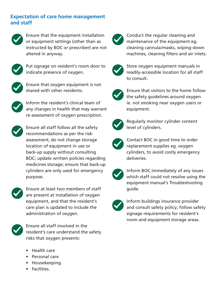## **Expectation of care home management and staff**



Ensure that the equipment installation or equipment settings (other than as instructed by BOC or prescriber) are not altered in anyway.



Put signage on resident's room door to indicate presence of oxygen.



Ensure that oxygen equipment is not shared with other residents.



Inform the resident's clinical team of any changes in health that may warrant re-assessment of oxygen prescription.



Ensure all staff follow all the safety recommendations as per the riskassessment; do not change storage location of equipment in use or back-up supply without consulting BOC; update written policies regarding medicines storage; ensure that back-up cylinders are only used for emergency purpose.



Ensure at least two members of staff are present at installation of oxygen equipment, and that the resident's care plan is updated to include the administration of oxygen.



Ensure all staff involved in the resident's care understand the safety risks that oxygen presents:

- Health care
- Personal care
- Housekeeping
- Facilities.



Conduct the regular cleaning and maintenance of the equipment eg. cleaning cannula/masks, wiping-down machines, cleaning filters and air inlets.



Store oxygen equipment manuals in readily-accessible location for all staff to consult.



Ensure that visitors to the home follow the safety guidelines around oxygen ie. not smoking near oxygen users or equipment.



Regularly monitor cylinder content level of cylinders.



Contact BOC in good time to order replacement supplies eg. oxygen cylinders, to avoid costly emergency deliveries.



Inform BOC immediately of any issues which staff could not resolve using the equipment manual's Troubleshooting guide.



Inform buildings insurance provider and consult safety policy; follow safety signage requirements for resident's room and equipment storage areas.